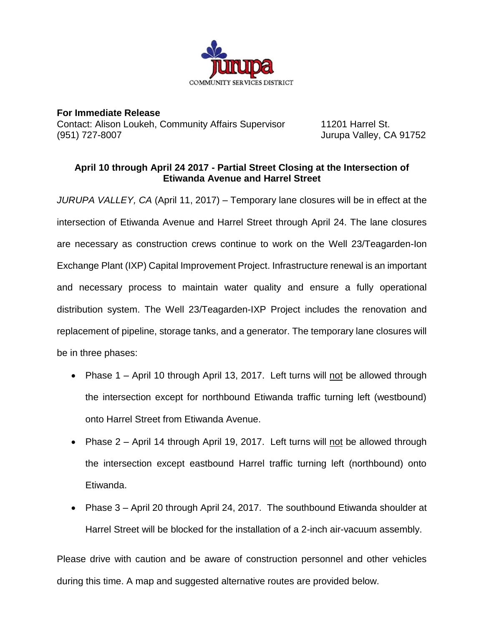

**For Immediate Release** Contact: Alison Loukeh, Community Affairs Supervisor 11201 Harrel St. (951) 727-8007 Jurupa Valley, CA 91752

## **April 10 through April 24 2017 - Partial Street Closing at the Intersection of Etiwanda Avenue and Harrel Street**

*JURUPA VALLEY, CA* (April 11, 2017) – Temporary lane closures will be in effect at the intersection of Etiwanda Avenue and Harrel Street through April 24. The lane closures are necessary as construction crews continue to work on the Well 23/Teagarden-Ion Exchange Plant (IXP) Capital Improvement Project. Infrastructure renewal is an important and necessary process to maintain water quality and ensure a fully operational distribution system. The Well 23/Teagarden-IXP Project includes the renovation and replacement of pipeline, storage tanks, and a generator. The temporary lane closures will be in three phases:

- Phase 1 April 10 through April 13, 2017. Left turns will not be allowed through the intersection except for northbound Etiwanda traffic turning left (westbound) onto Harrel Street from Etiwanda Avenue.
- Phase 2 April 14 through April 19, 2017. Left turns will not be allowed through the intersection except eastbound Harrel traffic turning left (northbound) onto Etiwanda.
- Phase 3 April 20 through April 24, 2017. The southbound Etiwanda shoulder at Harrel Street will be blocked for the installation of a 2-inch air-vacuum assembly.

Please drive with caution and be aware of construction personnel and other vehicles during this time. A map and suggested alternative routes are provided below.